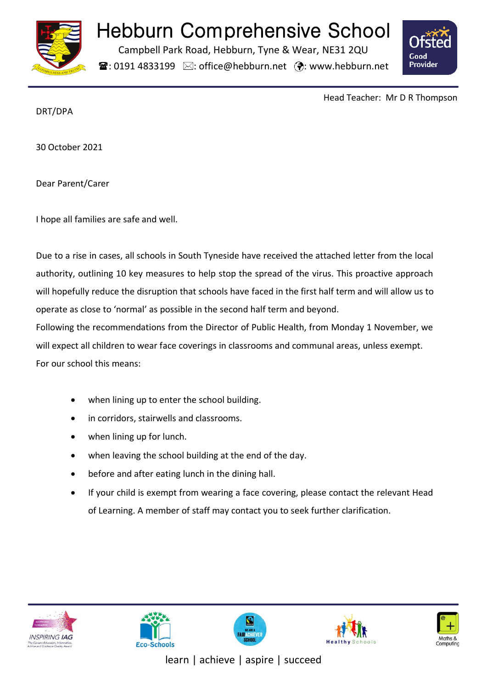

## Hebburn Comprehensive School

Campbell Park Road, Hebburn, Tyne & Wear, NE31 2QU

 $\mathbf{\hat{x}}$ : 0191 4833199  $\boxtimes$ : office@hebburn.net  $\ddot{\mathbf{\%}}$ : www.hebburn.net



Head Teacher: Mr D R Thompson

DRT/DPA

30 October 2021

Dear Parent/Carer

I hope all families are safe and well.

Due to a rise in cases, all schools in South Tyneside have received the attached letter from the local authority, outlining 10 key measures to help stop the spread of the virus. This proactive approach will hopefully reduce the disruption that schools have faced in the first half term and will allow us to operate as close to 'normal' as possible in the second half term and beyond.

Following the recommendations from the Director of Public Health, from Monday 1 November, we will expect all children to wear face coverings in classrooms and communal areas, unless exempt. For our school this means:

- when lining up to enter the school building.
- in corridors, stairwells and classrooms.
- when lining up for lunch.
- when leaving the school building at the end of the day.
- before and after eating lunch in the dining hall.
- If your child is exempt from wearing a face covering, please contact the relevant Head of Learning. A member of staff may contact you to seek further clarification.











learn | achieve | aspire | succeed